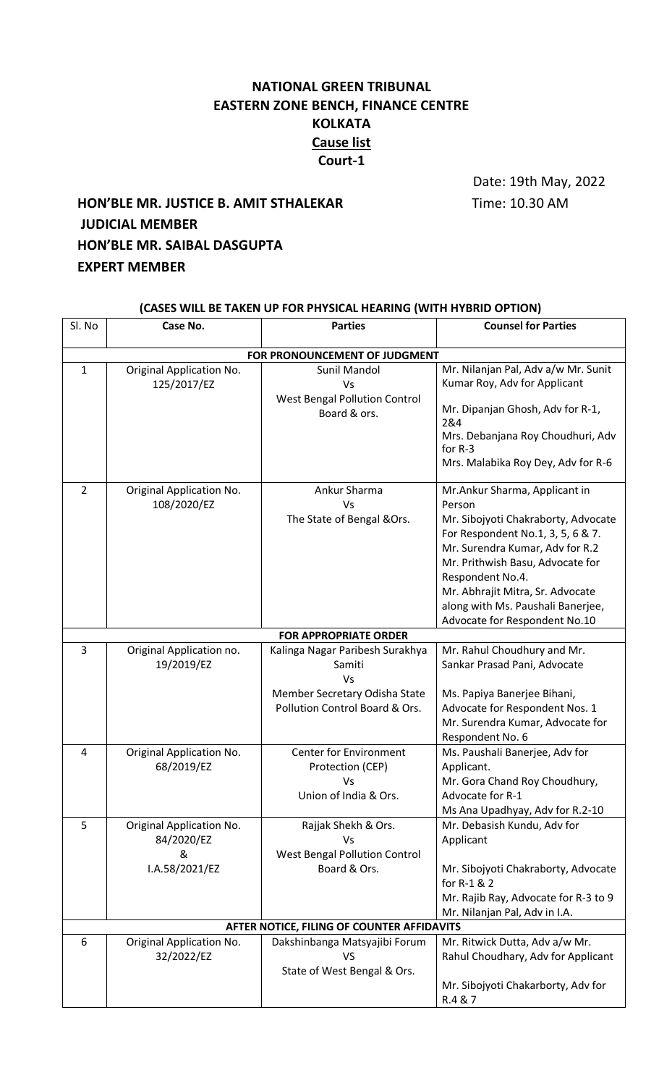## **NATIONAL GREEN TRIBUNAL EASTERN ZONE BENCH, FINANCE CENTRE KOLKATA Cause list Court-1**

Date: 19th May, 2022

## **HON'BLE MR. JUSTICE B. AMIT STHALEKAR** Time: 10.30 AM **JUDICIAL MEMBER HON'BLE MR. SAIBAL DASGUPTA EXPERT MEMBER**

| (CASES WILL BE TAKEN UP FOR PHYSICAL HEARING (WITH HYBRID OPTION) |                                                               |                                                                                                                    |                                                                                                                                                                                                                                                                                                                          |  |  |  |
|-------------------------------------------------------------------|---------------------------------------------------------------|--------------------------------------------------------------------------------------------------------------------|--------------------------------------------------------------------------------------------------------------------------------------------------------------------------------------------------------------------------------------------------------------------------------------------------------------------------|--|--|--|
| Sl. No                                                            | Case No.                                                      | <b>Parties</b>                                                                                                     | <b>Counsel for Parties</b>                                                                                                                                                                                                                                                                                               |  |  |  |
| FOR PRONOUNCEMENT OF JUDGMENT                                     |                                                               |                                                                                                                    |                                                                                                                                                                                                                                                                                                                          |  |  |  |
| $\mathbf{1}$                                                      | Original Application No.<br>125/2017/EZ                       | <b>Sunil Mandol</b><br>Vs<br><b>West Bengal Pollution Control</b><br>Board & ors.                                  | Mr. Nilanjan Pal, Adv a/w Mr. Sunit<br>Kumar Roy, Adv for Applicant<br>Mr. Dipanjan Ghosh, Adv for R-1,<br>2&4<br>Mrs. Debanjana Roy Choudhuri, Adv<br>for R-3<br>Mrs. Malabika Roy Dey, Adv for R-6                                                                                                                     |  |  |  |
| $\overline{2}$                                                    | Original Application No.<br>108/2020/EZ                       | Ankur Sharma<br>Vs<br>The State of Bengal &Ors.                                                                    | Mr.Ankur Sharma, Applicant in<br>Person<br>Mr. Sibojyoti Chakraborty, Advocate<br>For Respondent No.1, 3, 5, 6 & 7.<br>Mr. Surendra Kumar, Adv for R.2<br>Mr. Prithwish Basu, Advocate for<br>Respondent No.4.<br>Mr. Abhrajit Mitra, Sr. Advocate<br>along with Ms. Paushali Banerjee,<br>Advocate for Respondent No.10 |  |  |  |
|                                                                   |                                                               | <b>FOR APPROPRIATE ORDER</b>                                                                                       |                                                                                                                                                                                                                                                                                                                          |  |  |  |
| 3                                                                 | Original Application no.<br>19/2019/EZ                        | Kalinga Nagar Paribesh Surakhya<br>Samiti<br>Vs<br>Member Secretary Odisha State<br>Pollution Control Board & Ors. | Mr. Rahul Choudhury and Mr.<br>Sankar Prasad Pani, Advocate<br>Ms. Papiya Banerjee Bihani,<br>Advocate for Respondent Nos. 1<br>Mr. Surendra Kumar, Advocate for<br>Respondent No. 6                                                                                                                                     |  |  |  |
| 4                                                                 | Original Application No.<br>68/2019/EZ                        | <b>Center for Environment</b><br>Protection (CEP)<br>Vs -<br>Union of India & Ors.                                 | Ms. Paushali Banerjee, Adv for<br>Applicant.<br>Mr. Gora Chand Roy Choudhury,<br>Advocate for R-1<br>Ms Ana Upadhyay, Adv for R.2-10                                                                                                                                                                                     |  |  |  |
| 5                                                                 | Original Application No.<br>84/2020/EZ<br>&<br>I.A.58/2021/EZ | Rajjak Shekh & Ors.<br>Vs<br><b>West Bengal Pollution Control</b><br>Board & Ors.                                  | Mr. Debasish Kundu, Adv for<br>Applicant<br>Mr. Sibojyoti Chakraborty, Advocate<br>for R-1 & 2<br>Mr. Rajib Ray, Advocate for R-3 to 9<br>Mr. Nilanjan Pal, Adv in I.A.                                                                                                                                                  |  |  |  |
|                                                                   |                                                               | AFTER NOTICE, FILING OF COUNTER AFFIDAVITS                                                                         |                                                                                                                                                                                                                                                                                                                          |  |  |  |
| 6                                                                 | Original Application No.<br>32/2022/EZ                        | Dakshinbanga Matsyajibi Forum<br><b>VS</b><br>State of West Bengal & Ors.                                          | Mr. Ritwick Dutta, Adv a/w Mr.<br>Rahul Choudhary, Adv for Applicant<br>Mr. Sibojyoti Chakarborty, Adv for<br>R.4 & 7                                                                                                                                                                                                    |  |  |  |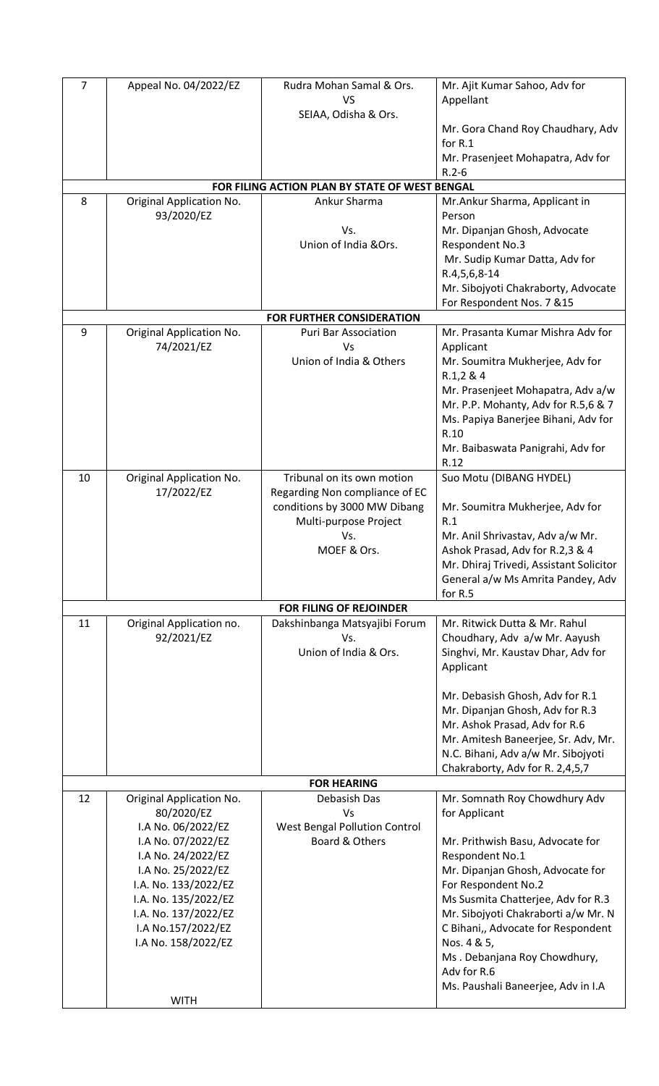| $\overline{7}$                                 | Appeal No. 04/2022/EZ                                                                                                                                                                                                                                              | Rudra Mohan Samal & Ors.<br><b>VS</b>                                                                                                       | Mr. Ajit Kumar Sahoo, Adv for<br>Appellant                                                                                                                                                                                                                                                                                                                                              |  |  |  |
|------------------------------------------------|--------------------------------------------------------------------------------------------------------------------------------------------------------------------------------------------------------------------------------------------------------------------|---------------------------------------------------------------------------------------------------------------------------------------------|-----------------------------------------------------------------------------------------------------------------------------------------------------------------------------------------------------------------------------------------------------------------------------------------------------------------------------------------------------------------------------------------|--|--|--|
|                                                |                                                                                                                                                                                                                                                                    | SEIAA, Odisha & Ors.                                                                                                                        | Mr. Gora Chand Roy Chaudhary, Adv<br>for R.1<br>Mr. Prasenjeet Mohapatra, Adv for<br>$R.2 - 6$                                                                                                                                                                                                                                                                                          |  |  |  |
| FOR FILING ACTION PLAN BY STATE OF WEST BENGAL |                                                                                                                                                                                                                                                                    |                                                                                                                                             |                                                                                                                                                                                                                                                                                                                                                                                         |  |  |  |
| 8                                              | Original Application No.<br>93/2020/EZ                                                                                                                                                                                                                             | Ankur Sharma<br>Vs.<br>Union of India & Ors.                                                                                                | Mr.Ankur Sharma, Applicant in<br>Person<br>Mr. Dipanjan Ghosh, Advocate<br>Respondent No.3<br>Mr. Sudip Kumar Datta, Adv for<br>R.4,5,6,8-14<br>Mr. Sibojyoti Chakraborty, Advocate<br>For Respondent Nos. 7 &15                                                                                                                                                                        |  |  |  |
|                                                |                                                                                                                                                                                                                                                                    | <b>FOR FURTHER CONSIDERATION</b>                                                                                                            |                                                                                                                                                                                                                                                                                                                                                                                         |  |  |  |
| 9                                              | Original Application No.<br>74/2021/EZ                                                                                                                                                                                                                             | <b>Puri Bar Association</b><br>Vs<br>Union of India & Others                                                                                | Mr. Prasanta Kumar Mishra Adv for<br>Applicant<br>Mr. Soumitra Mukherjee, Adv for<br>R.1,2 & 4<br>Mr. Prasenjeet Mohapatra, Adv a/w<br>Mr. P.P. Mohanty, Adv for R.5,6 & 7<br>Ms. Papiya Banerjee Bihani, Adv for<br>R.10<br>Mr. Baibaswata Panigrahi, Adv for<br>R.12                                                                                                                  |  |  |  |
| 10                                             | Original Application No.<br>17/2022/EZ                                                                                                                                                                                                                             | Tribunal on its own motion<br>Regarding Non compliance of EC<br>conditions by 3000 MW Dibang<br>Multi-purpose Project<br>Vs.<br>MOEF & Ors. | Suo Motu (DIBANG HYDEL)<br>Mr. Soumitra Mukherjee, Adv for<br>R.1<br>Mr. Anil Shrivastav, Adv a/w Mr.<br>Ashok Prasad, Adv for R.2,3 & 4<br>Mr. Dhiraj Trivedi, Assistant Solicitor<br>General a/w Ms Amrita Pandey, Adv<br>for R.5                                                                                                                                                     |  |  |  |
|                                                |                                                                                                                                                                                                                                                                    | FOR FILING OF REJOINDER                                                                                                                     |                                                                                                                                                                                                                                                                                                                                                                                         |  |  |  |
| 11                                             | Original Application no.<br>92/2021/EZ                                                                                                                                                                                                                             | Dakshinbanga Matsyajibi Forum<br>Vs.<br>Union of India & Ors.                                                                               | Mr. Ritwick Dutta & Mr. Rahul<br>Choudhary, Adv a/w Mr. Aayush<br>Singhvi, Mr. Kaustav Dhar, Adv for<br>Applicant<br>Mr. Debasish Ghosh, Adv for R.1<br>Mr. Dipanjan Ghosh, Adv for R.3<br>Mr. Ashok Prasad, Adv for R.6<br>Mr. Amitesh Baneerjee, Sr. Adv, Mr.<br>N.C. Bihani, Adv a/w Mr. Sibojyoti<br>Chakraborty, Adv for R. 2,4,5,7                                                |  |  |  |
|                                                |                                                                                                                                                                                                                                                                    | <b>FOR HEARING</b>                                                                                                                          |                                                                                                                                                                                                                                                                                                                                                                                         |  |  |  |
| 12                                             | Original Application No.<br>80/2020/EZ<br>I.A No. 06/2022/EZ<br>I.A No. 07/2022/EZ<br>I.A No. 24/2022/EZ<br>I.A No. 25/2022/EZ<br>I.A. No. 133/2022/EZ<br>I.A. No. 135/2022/EZ<br>I.A. No. 137/2022/EZ<br>I.A No.157/2022/EZ<br>I.A No. 158/2022/EZ<br><b>WITH</b> | Debasish Das<br>Vs<br><b>West Bengal Pollution Control</b><br>Board & Others                                                                | Mr. Somnath Roy Chowdhury Adv<br>for Applicant<br>Mr. Prithwish Basu, Advocate for<br>Respondent No.1<br>Mr. Dipanjan Ghosh, Advocate for<br>For Respondent No.2<br>Ms Susmita Chatterjee, Adv for R.3<br>Mr. Sibojyoti Chakraborti a/w Mr. N<br>C Bihani,, Advocate for Respondent<br>Nos. 4 & 5,<br>Ms. Debanjana Roy Chowdhury,<br>Adv for R.6<br>Ms. Paushali Baneerjee, Adv in I.A |  |  |  |